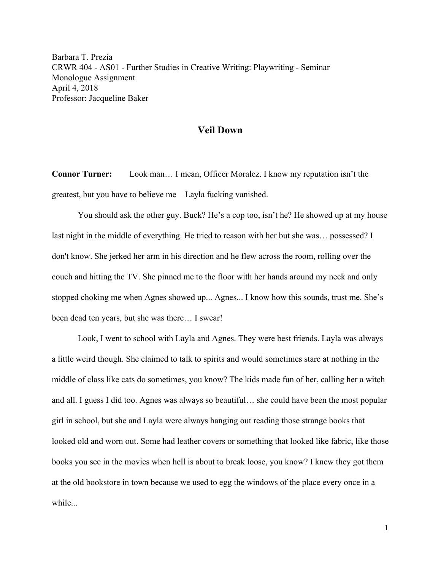Barbara T. Prezia CRWR 404 - AS01 - Further Studies in Creative Writing: Playwriting - Seminar Monologue Assignment April 4, 2018 Professor: Jacqueline Baker

## **Veil Down**

**Connor Turner:** Look man… I mean, Officer Moralez. I know my reputation isn't the greatest, but you have to believe me—Layla fucking vanished.

You should ask the other guy. Buck? He's a cop too, isn't he? He showed up at my house last night in the middle of everything. He tried to reason with her but she was… possessed? I don't know. She jerked her arm in his direction and he flew across the room, rolling over the couch and hitting the TV. She pinned me to the floor with her hands around my neck and only stopped choking me when Agnes showed up... Agnes... I know how this sounds, trust me. She's been dead ten years, but she was there… I swear!

Look, I went to school with Layla and Agnes. They were best friends. Layla was always a little weird though. She claimed to talk to spirits and would sometimes stare at nothing in the middle of class like cats do sometimes, you know? The kids made fun of her, calling her a witch and all. I guess I did too. Agnes was always so beautiful… she could have been the most popular girl in school, but she and Layla were always hanging out reading those strange books that looked old and worn out. Some had leather covers or something that looked like fabric, like those books you see in the movies when hell is about to break loose, you know? I knew they got them at the old bookstore in town because we used to egg the windows of the place every once in a while